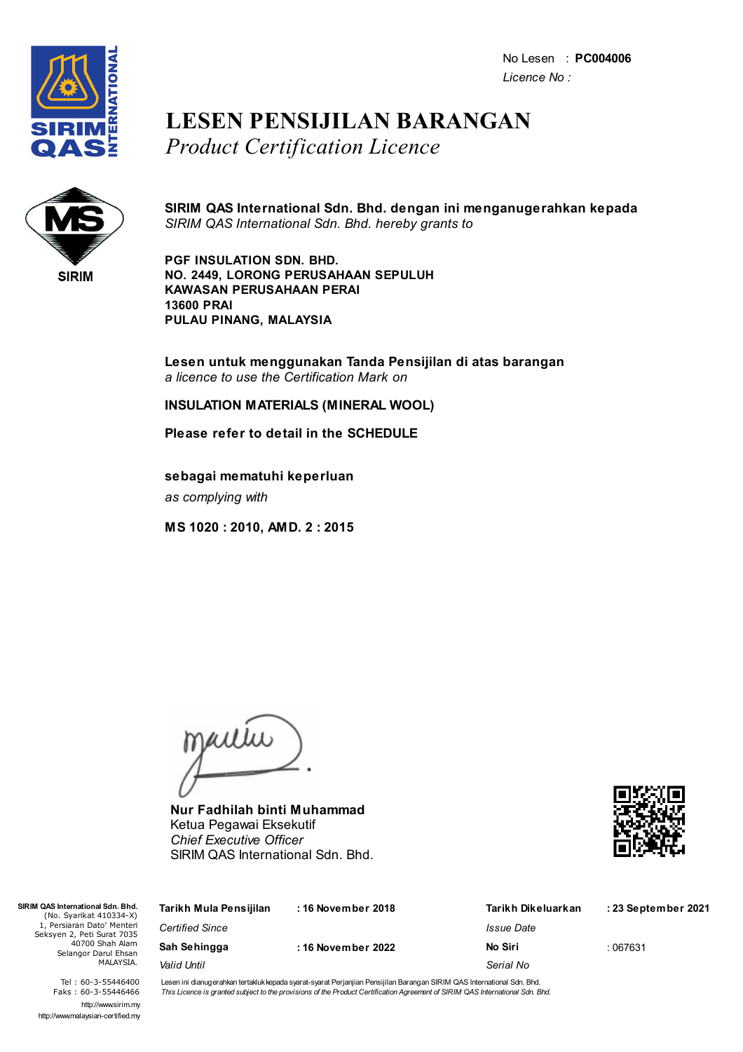No Lesen : **PC004006** *Licence No :*



## **LESEN PENSIJILAN BARANGAN** *Product Certification Licence*



**SIRIM QAS International Sdn. Bhd. dengan ini menganugerahkan kepada** *SIRIM QAS International Sdn. Bhd. hereby grants to*

**PGF INSULATION SDN. BHD. NO. 2449, LORONG PERUSAHAAN SEPULUH KAWASAN PERUSAHAAN PERAI 13600 PRAI PULAU PINANG, MALAYSIA**

**Lesen untuk menggunakan Tanda Pensijilan di atas barangan** *a licence to use the Certification Mark on*

**INSULATION MATERIALS (MINERAL WOOL)**

**Please refer to detail in the SCHEDULE**

**sebagai mematuhi keperluan** *as complying with*

**MS 1020 : 2010, AMD. 2 : 2015**

jailie

**Nur Fadhilah binti Muhammad** Ketua Pegawai Eksekutif *Chief Executive Officer* SIRIM QAS International Sdn. Bhd.



| <b>/I QAS International Sdn. Bhd.</b><br>(No. Syarikat 410334-X)                                                 | Tarikh Mula Pensijilan             | : 16 November 2018 | Tarikh Dikeluarkan | : 23 September 2021 |
|------------------------------------------------------------------------------------------------------------------|------------------------------------|--------------------|--------------------|---------------------|
| 1, Persiaran Dato' Menteri<br>Seksyen 2, Peti Surat 7035<br>40700 Shah Alam<br>Selangor Darul Ehsan<br>MALAYSIA. | <b>Certified Since</b>             |                    | Issue Date         |                     |
|                                                                                                                  | Sah Sehingga<br>: 16 November 2022 | No Siri            | :067631            |                     |
|                                                                                                                  | Valid Until                        |                    | Serial No          |                     |
|                                                                                                                  |                                    |                    |                    |                     |

Tel : 60-3-55446400 Faks : 60-3-55446466 http://www.sirim.my http://www.malaysian-certified.my

 $SIRIMO4$ 

Lesen ini dianugerahkan tertakluk kepada syarat-syarat Perjanjian Pensijilan Barangan SIRIM QAS International Sdn. Bhd. This Licence is granted subject to the provisions of the Product Certification Agreement of SIRIM QAS International Sdn. Bhd.